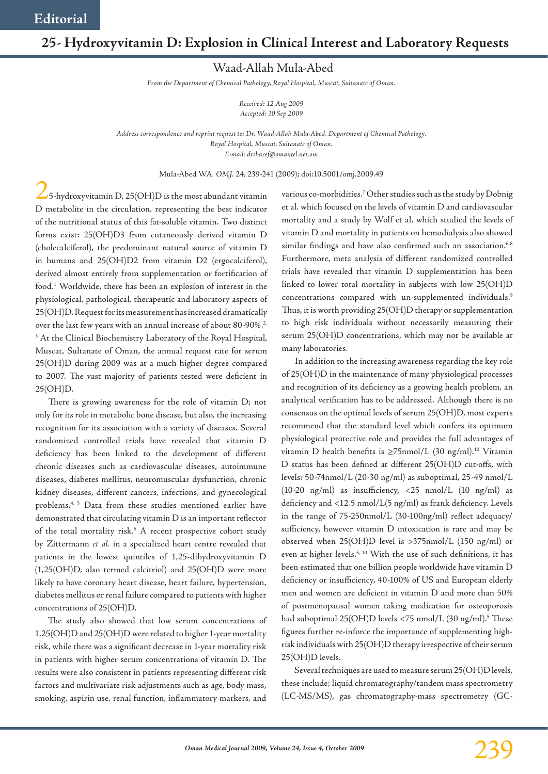## **25- Hydroxyvitamin D: Explosion in Clinical Interest and Laboratory Requests**

Waad-Allah Mula-Abed

*From the Department of Chemical Pathology, Royal Hospital, Muscat, Sultanate of Oman.*

*Received: 12 Aug 2009 Accepted: 10 Sep 2009*

*Address correspondence and reprint request to: Dr. Waad-Allah Mula-Abed, Department of Chemical Pathology, Royal Hospital, Muscat, Sultanate of Oman. E-mail: drsharef@omantel.net.om*

Mula-Abed WA*. OMJ.* 24, 239-241 (2009); doi:10.5001/omj.2009.49

 $\checkmark$ 5-hydroxyvitamin D, 25(OH)D is the most abundant vitamin D metabolite in the circulation, representing the best indicator of the nutritional status of this fat-soluble vitamin. Two distinct forms exist: 25(OH)D3 from cutaneously derived vitamin D (cholecalciferol), the predominant natural source of vitamin D in humans and 25(OH)D2 from vitamin D2 (ergocalciferol), derived almost entirely from supplementation or fortification of food.1 Worldwide, there has been an explosion of interest in the physiological, pathological, therapeutic and laboratory aspects of 25(OH)D. Request for its measurement has increased dramatically over the last few years with an annual increase of about 80-90%.<sup>2,</sup> <sup>3</sup> At the Clinical Biochemistry Laboratory of the Royal Hospital, Muscat, Sultanate of Oman, the annual request rate for serum 25(OH)D during 2009 was at a much higher degree compared to 2007. The vast majority of patients tested were deficient in 25(OH)D.

There is growing awareness for the role of vitamin D; not only for its role in metabolic bone disease, but also, the increasing recognition for its association with a variety of diseases. Several randomized controlled trials have revealed that vitamin D deficiency has been linked to the development of different chronic diseases such as cardiovascular diseases, autoimmune diseases, diabetes mellitus, neuromuscular dysfunction, chronic kidney diseases, different cancers, infections, and gynecological problems.4, 5 Data from these studies mentioned earlier have demonstrated that circulating vitamin D is an important reflector of the total mortality risk.<sup>6</sup> A recent prospective cohort study by Zittermann *et al.* in a specialized heart centre revealed that patients in the lowest quintiles of 1,25-dihydroxyvitamin D (1,25(OH)D, also termed calcitriol) and 25(OH)D were more likely to have coronary heart disease, heart failure, hypertension, diabetes mellitus or renal failure compared to patients with higher concentrations of 25(OH)D.

The study also showed that low serum concentrations of 1,25(OH)D and 25(OH)D were related to higher 1-year mortality risk, while there was a significant decrease in 1-year mortality risk in patients with higher serum concentrations of vitamin D. The results were also consistent in patients representing different risk factors and multivariate risk adjustments such as age, body mass, smoking, aspirin use, renal function, inflammatory markers, and

various co-morbidities.7 Other studies such as the study by Dobnig et al. which focused on the levels of vitamin D and cardiovascular mortality and a study by Wolf et al. which studied the levels of vitamin D and mortality in patients on hemodialysis also showed similar findings and have also confirmed such an association.<sup>6,8</sup> Furthermore, meta analysis of different randomized controlled trials have revealed that vitamin D supplementation has been linked to lower total mortality in subjects with low 25(OH)D concentrations compared with un-supplemented individuals.<sup>9</sup> Thus, it is worth providing 25(OH)D therapy or supplementation to high risk individuals without necessarily measuring their serum 25(OH)D concentrations, which may not be available at many laboratories.

In addition to the increasing awareness regarding the key role of 25(OH)D in the maintenance of many physiological processes and recognition of its deficiency as a growing health problem, an analytical verification has to be addressed. Although there is no consensus on the optimal levels of serum 25(OH)D, most experts recommend that the standard level which confers its optimum physiological protective role and provides the full advantages of vitamin D health benefits is  $\geq$ 75nmol/L (30 ng/ml).<sup>10</sup> Vitamin D status has been defined at different 25(OH)D cut-offs, with levels: 50-74nmol/L (20-30 ng/ml) as suboptimal, 25-49 nmol/L (10-20 ng/ml) as insufficiency, <25 nmol/L (10 ng/ml) as deficiency and <12.5 nmol/L(5 ng/ml) as frank deficiency. Levels in the range of 75-250nmol/L (30-100ng/ml) reflect adequacy/ sufficiency, however vitamin D intoxication is rare and may be observed when 25(OH)D level is >375nmol/L (150 ng/ml) or even at higher levels.<sup>5, 10</sup> With the use of such definitions, it has been estimated that one billion people worldwide have vitamin D deficiency or insufficiency, 40-100% of US and European elderly men and women are deficient in vitamin D and more than 50% of postmenopausal women taking medication for osteoporosis had suboptimal 25(OH)D levels <75 nmol/L (30 ng/ml).<sup>5</sup> These figures further re-inforce the importance of supplementing highrisk individuals with 25(OH)D therapy irrespective of their serum 25(OH)D levels.

Several techniques are used to measure serum 25(OH)D levels, these include; liquid chromatography/tandem mass spectrometry (LC-MS/MS), gas chromatography-mass spectrometry (GC-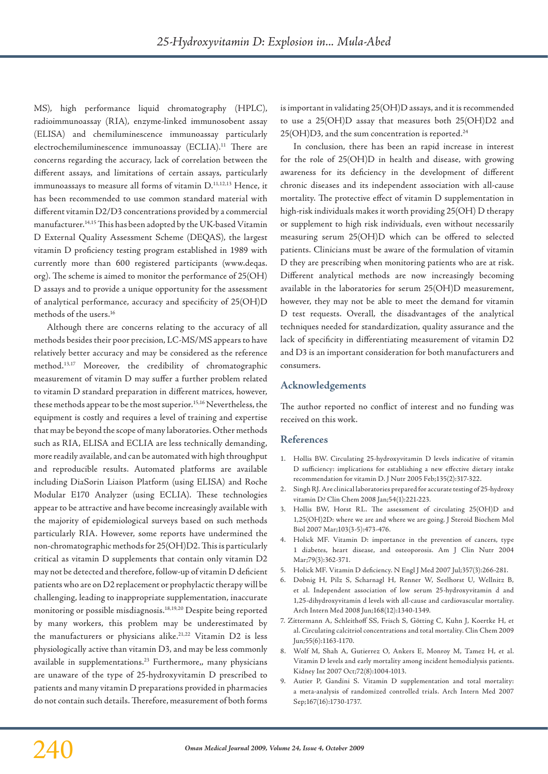MS), high performance liquid chromatography (HPLC), radioimmunoassay (RIA), enzyme-linked immunosobent assay (ELISA) and chemiluminescence immunoassay particularly electrochemiluminescence immunoassay (ECLIA).<sup>11</sup> There are concerns regarding the accuracy, lack of correlation between the different assays, and limitations of certain assays, particularly immunoassays to measure all forms of vitamin D.<sup>11,12,13</sup> Hence, it has been recommended to use common standard material with different vitamin D2/D3 concentrations provided by a commercial manufacturer.14,15 This has been adopted by the UK-based Vitamin D External Quality Assessment Scheme (DEQAS), the largest vitamin D proficiency testing program established in 1989 with currently more than 600 registered participants (www.deqas. org). The scheme is aimed to monitor the performance of 25(OH) D assays and to provide a unique opportunity for the assessment of analytical performance, accuracy and specificity of 25(OH)D methods of the users.16

Although there are concerns relating to the accuracy of all methods besides their poor precision, LC-MS/MS appears to have relatively better accuracy and may be considered as the reference method.13,17 Moreover, the credibility of chromatographic measurement of vitamin D may suffer a further problem related to vitamin D standard preparation in different matrices, however, these methods appear to be the most superior.<sup>15,16</sup> Nevertheless, the equipment is costly and requires a level of training and expertise that may be beyond the scope of many laboratories. Other methods such as RIA, ELISA and ECLIA are less technically demanding, more readily available, and can be automated with high throughput and reproducible results. Automated platforms are available including DiaSorin Liaison Platform (using ELISA) and Roche Modular E170 Analyzer (using ECLIA). These technologies appear to be attractive and have become increasingly available with the majority of epidemiological surveys based on such methods particularly RIA. However, some reports have undermined the non-chromatographic methods for 25(OH)D2. This is particularly critical as vitamin D supplements that contain only vitamin D2 may not be detected and therefore, follow-up of vitamin D deficient patients who are on D2 replacement or prophylactic therapy will be challenging, leading to inappropriate supplementation, inaccurate monitoring or possible misdiagnosis.18,19,20 Despite being reported by many workers, this problem may be underestimated by the manufacturers or physicians alike.<sup>21,22</sup> Vitamin D2 is less physiologically active than vitamin D3, and may be less commonly available in supplementations.<sup>23</sup> Furthermore,, many physicians are unaware of the type of 25-hydroxyvitamin D prescribed to patients and many vitamin D preparations provided in pharmacies do not contain such details. Therefore, measurement of both forms

is important in validating 25(OH)D assays, and it is recommended to use a 25(OH)D assay that measures both 25(OH)D2 and 25(OH)D3, and the sum concentration is reported.<sup>24</sup>

In conclusion, there has been an rapid increase in interest for the role of 25(OH)D in health and disease, with growing awareness for its deficiency in the development of different chronic diseases and its independent association with all-cause mortality. The protective effect of vitamin D supplementation in high-risk individuals makes it worth providing 25(OH) D therapy or supplement to high risk individuals, even without necessarily measuring serum 25(OH)D which can be offered to selected patients. Clinicians must be aware of the formulation of vitamin D they are prescribing when monitoring patients who are at risk. Different analytical methods are now increasingly becoming available in the laboratories for serum 25(OH)D measurement, however, they may not be able to meet the demand for vitamin D test requests. Overall, the disadvantages of the analytical techniques needed for standardization, quality assurance and the lack of specificity in differentiating measurement of vitamin D2 and D3 is an important consideration for both manufacturers and consumers.

## **Acknowledgements**

The author reported no conflict of interest and no funding was received on this work.

## **References**

- 1. Hollis BW. Circulating 25-hydroxyvitamin D levels indicative of vitamin D sufficiency: implications for establishing a new effective dietary intake recommendation for vitamin D. J Nutr 2005 Feb;135(2):317-322.
- 2. Singh RJ. Are clinical laboratories prepared for accurate testing of 25-hydroxy vitamin D? Clin Chem 2008 Jan;54(1):221-223.
- 3. Hollis BW, Horst RL. The assessment of circulating 25(OH)D and 1,25(OH)2D: where we are and where we are going. J Steroid Biochem Mol Biol 2007 Mar;103(3-5):473-476.
- 4. Holick MF. Vitamin D: importance in the prevention of cancers, type 1 diabetes, heart disease, and osteoporosis. Am J Clin Nutr 2004 Mar;79(3):362-371.
- 5. Holick MF. Vitamin D deficiency. N Engl J Med 2007 Jul;357(3):266-281.
- 6. Dobnig H, Pilz S, Scharnagl H, Renner W, Seelhorst U, Wellnitz B, et al. Independent association of low serum 25-hydroxyvitamin d and 1,25-dihydroxyvitamin d levels with all-cause and cardiovascular mortality. Arch Intern Med 2008 Jun;168(12):1340-1349.
- 7. Zittermann A, Schleithoff SS, Frisch S, Götting C, Kuhn J, Koertke H, et al. Circulating calcitriol concentrations and total mortality. Clin Chem 2009 Jun;55(6):1163-1170.
- 8. Wolf M, Shah A, Gutierrez O, Ankers E, Monroy M, Tamez H, et al. Vitamin D levels and early mortality among incident hemodialysis patients. Kidney Int 2007 Oct;72(8):1004-1013.
- 9. Autier P, Gandini S. Vitamin D supplementation and total mortality: a meta-analysis of randomized controlled trials. Arch Intern Med 2007 Sep;167(16):1730-1737.